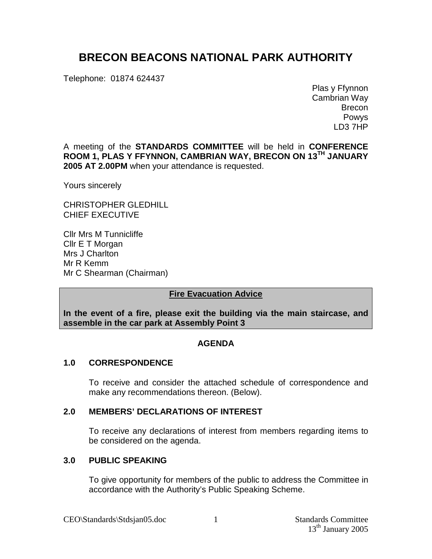# **BRECON BEACONS NATIONAL PARK AUTHORITY**

Telephone: 01874 624437

Plas y Ffynnon Cambrian Way Brecon Powys LD3 7HP

A meeting of the **STANDARDS COMMITTEE** will be held in **CONFERENCE ROOM 1, PLAS Y FFYNNON, CAMBRIAN WAY, BRECON ON 13 TH JANUARY 2005 AT 2.00PM** when your attendance is requested.

Yours sincerely

CHRISTOPHER GLEDHILL CHIEF EXECUTIVE

Cllr Mrs M Tunnicliffe Cllr E T Morgan Mrs J Charlton Mr R Kemm Mr C Shearman (Chairman)

# **Fire Evacuation Advice**

**In the event of a fire, please exit the building via the main staircase, and assemble in the car park at Assembly Point 3**

# **AGENDA**

# **1.0 CORRESPONDENCE**

To receive and consider the attached schedule of correspondence and make any recommendations thereon. (Below).

# **2.0 MEMBERS' DECLARATIONS OF INTEREST**

To receive any declarations of interest from members regarding items to be considered on the agenda.

# **3.0 PUBLIC SPEAKING**

To give opportunity for members of the public to address the Committee in accordance with the Authority's Public Speaking Scheme.

1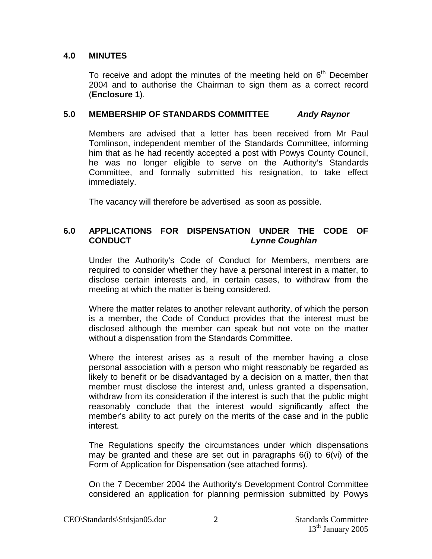# **4.0 MINUTES**

To receive and adopt the minutes of the meeting held on 6<sup>th</sup> December 2004 and to authorise the Chairman to sign them as a correct record (**Enclosure 1**).

# **5.0 MEMBERSHIP OF STANDARDS COMMITTEE Andy Raynor**

Members are advised that a letter has been received from Mr Paul Tomlinson, independent member of the Standards Committee, informing him that as he had recently accepted a post with Powys County Council, he was no longer eligible to serve on the Authority's Standards Committee, and formally submitted his resignation, to take effect immediately.

The vacancy will therefore be advertised as soon as possible.

# **6.0 APPLICATIONS FOR DISPENSATION UNDER THE CODE OF CONDUCT Lynne Coughlan**

Under the Authority's Code of Conduct for Members, members are required to consider whether they have a personal interest in a matter, to disclose certain interests and, in certain cases, to withdraw from the meeting at which the matter is being considered.

Where the matter relates to another relevant authority, of which the person is a member, the Code of Conduct provides that the interest must be disclosed although the member can speak but not vote on the matter without a dispensation from the Standards Committee.

Where the interest arises as a result of the member having a close personal association with a person who might reasonably be regarded as likely to benefit or be disadvantaged by a decision on a matter, then that member must disclose the interest and, unless granted a dispensation, withdraw from its consideration if the interest is such that the public might reasonably conclude that the interest would significantly affect the member's ability to act purely on the merits of the case and in the public interest.

The Regulations specify the circumstances under which dispensations may be granted and these are set out in paragraphs  $6(i)$  to  $6(vi)$  of the Form of Application for Dispensation (see attached forms).

On the 7 December 2004 the Authority's Development Control Committee considered an application for planning permission submitted by Powys